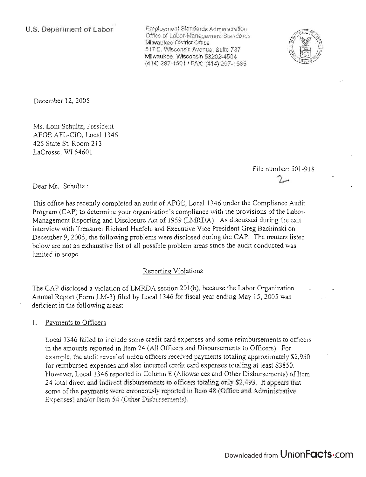**U.S. Department of Labor** 

Employment Standards Administration Office of Labor-Management Standards Milwaukee District Office 517 E. Wisconsin Avenue, Suite 737 Milwaukee, Wisconsin 53202-4504 (414) 297-1501 / FAX: (414) 297-1685



December 12,2005

Ms. Loni Schultz, President AFGE AFL-CIO, Local 1346 425 State St. Room 213 LaCrosse, WI 54601

> File number: 501-918  $\mathcal{L}$

Dear Ms. Schultz:

This office has recently completed an audit of AFGE, Local 1346 under the Compliance Audit Program (CAP) to determine your organization's compliance with the provisions of the Labor-Management Reporting and Disclosure Act of 1959 (LMRDA). As discussed during the exit interview with Treasurer Richard Haefele and Executive Vice President Greg Bachinski on December 9, 2005, the following problems were disclosed during the CAP. The matters listed below are not an exhaustive list of all possible problem areas since the audit conducted was limited in scope.

# Reporting Violations

The CAP disclosed a violation of LMRDA section 201(b), because the Labor Organization Annual Report (Form LM-3) filed by Local 1346 for fiscal year ending May 15, 2005 was deficient in the following areas:

## 1. Payments to Officers

Local 1346 failed to include some credit card expenses and some reimbursements to officers in the amounts reported in Item 24 (All Officers and Disbursements to Officers). For example, the audit revealed union officers received payments totaling approximately \$2,950 for reimbursed expenses and also incurred credit card expenses totaling at least \$3850. However, Local 1346 reported in Column E (Allowances and Other Disbursements) of Item 24 total direct and indirect disbursements to officers totaling only \$2,493 . It appears that some of the payments were erroneously reported in Item 48 (Office and Administrative Expenses) and/or Item 54 (Other Disbursements).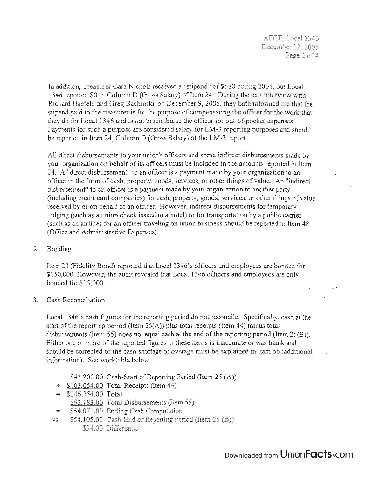AFGE, Local 1346 December 12,2005 Page 2 of 4

In addition, Treasurer Cara Nichols received a "stipend" of \$580 during 2004, but Local 1346 reported  $$0$  in Column D (Gross Salary) of Item 24. During the exit interview with Richard Haefele and Greg Bachinski, on December 9, 2005, they both informed me that the stipend paid to the treasurer is for the purpose of compensating the officer for the work that they do for Local 1346 and is not to reimburse the officer for out-of-pocket expenses. Payments for such a purpose are considered salary for LM-3 reporting purposes and should be reported in Item 24, Column D (Gross Salary) of the LM-3 report.

All direct disbursements to your union's officers and some indirect disbursements made by your organization on behalf of its officers must be included in the amounts reported in Item 24. A "direct disbursement" to an officer is a payment made by your organization to an officer in the form of cash, property, goods, services, or other things of value. An "indirect disbursement" to an officer is a payment made by your organization to another party (including credit card companies) for cash, property, goods, services, or other things of value received by or on behalf of an officer. However, indirect disbursements for temporary lodging (such as a union check issued to a hotel) or for transportation by a public carrier (such as an airline) for an officer traveling on union business should be reported in Item 48 (Office and Administrative Expenses).

2. Bonding

Item 20 (Fidelity Bond) reported that Local 1346's officers and employees are bonded for \$150,000. However, the audit revealed that Local 1346 officers and employees are only bonded for \$15,000.

3. Cash Reconciliation

Local 1346's cash figures for the reporting period do not reconcile. Specifically, cash at the start of the reporting period (Item 25(A)) plus total receipts (Item 44) minus total disbursements (Item 55) does not equal cash at the end of the reporting period (Item 25(B)). Either one or more of the reported figures in these items is inaccurate or was blank and should be corrected or the cash shortage or overage must be explained in Item 56 (additional information). See worktable below.

\$43,200.00 Cash-Start of Reporting Period (Item 25 (A))

- $\div$  \$103,054.00 Total Receipts (Item 44)
- $=$  \$146,254.00 Total
- $-$  \$92,183.00 Total Disbursements (Item 55)
- = \$54,07l.00 Ending Cash Computation
- vs. \$54,105.00 Cash-End of Reporting Period (Item 25 (B)) \$34.00 Difference

 $\sim$   $\sim$ 

 $\sim$   $\sim$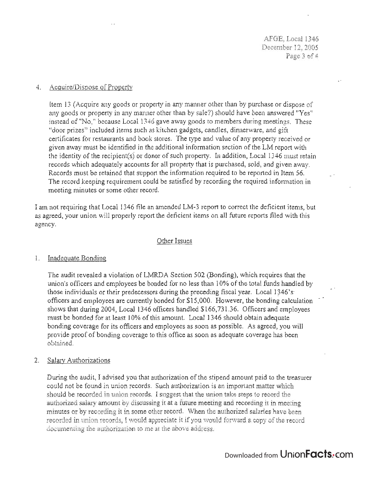AFGE, Local 1346 December 12, 2005 Page 3 of 4

## 4. AcquirelDispose of Property

Item 13 (Acquire any goods or property in any manner other than by purchase or dispose of any goods or property in any manner other than by sale?) should have been answered "Yes" instead of "No," because Local 1346 gave away goods to members during meetings. These "door prizes" included items such as kitchen gadgets, candles, dinnerware, and gift certificates for restaurants and book stores. The type and value of any property received or given away must be identified in the additional information section of the LM report with the identity of the recipient( s) or donor of such property. In addition, Local 1346 must retain records which adequately accounts for all property that is purchased, sold, and given away. Records must be retained that support the information required to be reported in Item 56. The record keeping requirement could be satisfied by recording the required information in meeting minutes or some other record.

I am not requiring that Local 1346 file an amended LM-3 report to correct the deficient items, but as agreed, your union will properly report the deficient items on all future reports filed with this agency.

#### Other Issues

## 1. Inadequate Bonding

The audit revealed a violation of LMRDA Section 502 (Bonding), which requires that the union's officers and employees be bonded for no less than 10% of the total funds handled by those individuals or their predecessors during the preceding fiscal year. Local 1346'sofficers and employees are currently bonded for \$15,000. However, the bonding calculation shows that during 2004, Local 1346 officers handled \$166,731.36. Officers and employees must be bonded for at least 10% of this amount. Local 1346 should obtain adequate bonding coverage for its officers and employees as soon as possible. As agreed, you will provide proof of bonding coverage to this office as soon as adequate coverage has been obtained.

## 2. Salary Authorizations

During the audit, I advised you that authorization of the stipend amount paid to the treasurer could not be found in union records. Such authorization is an important matter which should be recorded in union records. I suggest that the union take steps to record the authorized salary amount by discussing it at a future meeting and recording it in meeting minutes or by recording it in some other record. When the authorized salaries have been recorded in union records, I would appreciate it if you would forward a copy of the record documenting the authorization to me at the above address.